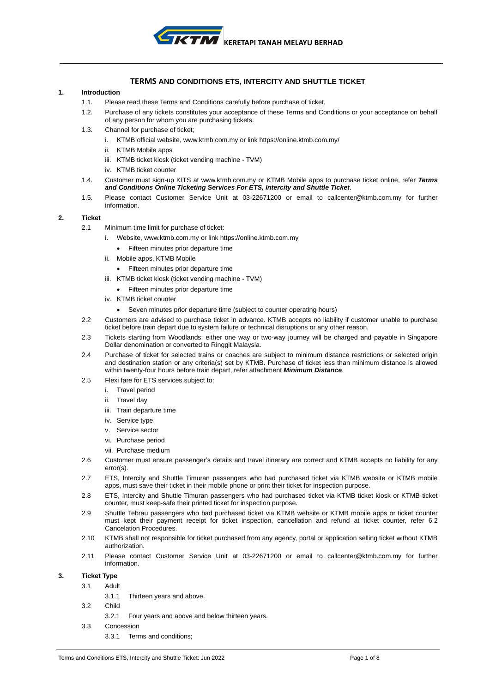

# **TERMS AND CONDITIONS ETS, INTERCITY AND SHUTTLE TICKET**

## **1. Introduction**

- 1.1. Please read these Terms and Conditions carefully before purchase of ticket.
- 1.2. Purchase of any tickets constitutes your acceptance of these Terms and Conditions or your acceptance on behalf of any person for whom you are purchasing tickets.
- 1.3. Channel for purchase of ticket;
	- i. KTMB official website[, www.ktmb.com.my](http://www.ktmb.com.my/) or link https://online.ktmb.com.my/
	- ii. KTMB Mobile apps
	- iii. KTMB ticket kiosk (ticket vending machine TVM)
	- iv. KTMB ticket counte
- 1.4. Customer must sign-up KITS at [www.ktmb.com.my](http://www.ktmb.com.my/) or KTMB Mobile apps to purchase ticket online, refer *Terms and Conditions Online Ticketing Services For ETS, Intercity and Shuttle Ticket*.
- 1.5. Please contact Customer Service Unit at 03-22671200 or email to callcenter@ktmb.com.my for further information.

#### **2. Ticket**

- 2.1 Minimum time limit for purchase of ticket:
	- i. Website, [www.ktmb.com.my](http://www.ktmb.com.my/) or link https://online.ktmb.com.my
		- Fifteen minutes prior departure time
	- ii. Mobile apps, KTMB Mobile
		- Fifteen minutes prior departure time
	- iii. KTMB ticket kiosk (ticket vending machine TVM)
		- Fifteen minutes prior departure time
	- iv. KTMB ticket counter
		- Seven minutes prior departure time (subject to counter operating hours)
- 2.2 Customers are advised to purchase ticket in advance. KTMB accepts no liability if customer unable to purchase ticket before train depart due to system failure or technical disruptions or any other reason.
- 2.3 Tickets starting from Woodlands, either one way or two-way journey will be charged and payable in Singapore Dollar denomination or converted to Ringgit Malaysia.
- 2.4 Purchase of ticket for selected trains or coaches are subject to minimum distance restrictions or selected origin and destination station or any criteria(s) set by KTMB. Purchase of ticket less than minimum distance is allowed within twenty-four hours before train depart, refer attachment *Minimum Distance*.
- 2.5 Flexi fare for ETS services subject to:
	- i. Travel period
	- ii. Travel day
	- iii. Train departure time
	- iv. Service type
	- v. Service sector
	- vi. Purchase period
	- vii. Purchase medium
- 2.6 Customer must ensure passenger's details and travel itinerary are correct and KTMB accepts no liability for any error(s).
- 2.7 ETS, Intercity and Shuttle Timuran passengers who had purchased ticket via KTMB website or KTMB mobile apps, must save their ticket in their mobile phone or print their ticket for inspection purpose.
- 2.8 ETS, Intercity and Shuttle Timuran passengers who had purchased ticket via KTMB ticket kiosk or KTMB ticket counter, must keep-safe their printed ticket for inspection purpose.
- 2.9 Shuttle Tebrau passengers who had purchased ticket via KTMB website or KTMB mobile apps or ticket counter must kept their payment receipt for ticket inspection, cancellation and refund at ticket counter, refer 6.2 Cancelation Procedures.
- 2.10 KTMB shall not responsible for ticket purchased from any agency, portal or application selling ticket without KTMB authorization.
- 2.11 Please contact Customer Service Unit at 03-22671200 or email to callcenter@ktmb.com.my for further information.

# **3. Ticket Type**

- 3.1 Adult
	- 3.1.1 Thirteen years and above.
- 3.2 Child
	- 3.2.1 Four years and above and below thirteen years.
- 3.3 Concession
	- 3.3.1 Terms and conditions;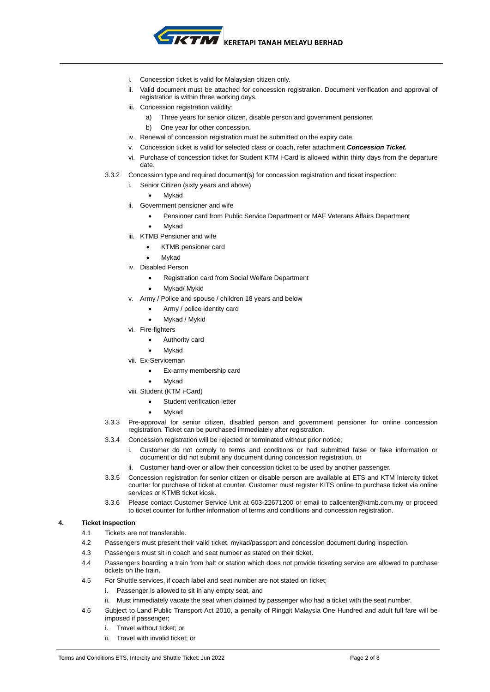

- i. Concession ticket is valid for Malaysian citizen only.
- ii. Valid document must be attached for concession registration. Document verification and approval of registration is within three working days.
- iii. Concession registration validity:
	- a) Three years for senior citizen, disable person and government pensioner.
	- b) One year for other concession.
- iv. Renewal of concession registration must be submitted on the expiry date.
- v. Concession ticket is valid for selected class or coach, refer attachment *Concession Ticket.*
- vi. Purchase of concession ticket for Student KTM i-Card is allowed within thirty days from the departure date.
- 3.3.2 Concession type and required document(s) for concession registration and ticket inspection:
	- i. Senior Citizen (sixty years and above)
		- **Mykad**
	- ii. Government pensioner and wife
		- Pensioner card from Public Service Department or MAF Veterans Affairs Department
		- **Mykad**
	- iii. KTMB Pensioner and wife
		- KTMB pensioner card
			- **Mykad**
	- iv. Disabled Person
		- Registration card from Social Welfare Department
		- Mykad/ Mykid
	- v. Army / Police and spouse / children 18 years and below
		- Army / police identity card
		- Mykad / Mykid
	- vi. Fire-fighters
		- Authority card
			- **Mykad**
	- vii. Ex-Serviceman
		- Ex-army membership card
			- **Mykad**
	- viii. Student (KTM i-Card)
		- Student verification letter
		- **Mykad**
- 3.3.3 Pre-approval for senior citizen, disabled person and government pensioner for online concession registration. Ticket can be purchased immediately after registration.
- 3.3.4 Concession registration will be rejected or terminated without prior notice;
	- i. Customer do not comply to terms and conditions or had submitted false or fake information or document or did not submit any document during concession registration, or
	- Customer hand-over or allow their concession ticket to be used by another passenger.
- 3.3.5 Concession registration for senior citizen or disable person are available at ETS and KTM Intercity ticket counter for purchase of ticket at counter. Customer must register KITS online to purchase ticket via online services or KTMB ticket kiosk.
- 3.3.6 Please contact Customer Service Unit at 603-22671200 or email to callcenter@ktmb.com.my or proceed to ticket counter for further information of terms and conditions and concession registration.

#### **4. Ticket Inspection**

- 4.1 Tickets are not transferable.
- 4.2 Passengers must present their valid ticket, mykad/passport and concession document during inspection.
- 4.3 Passengers must sit in coach and seat number as stated on their ticket.
- 4.4 Passengers boarding a train from halt or station which does not provide ticketing service are allowed to purchase tickets on the train.
- 4.5 For Shuttle services, if coach label and seat number are not stated on ticket;
	- i. Passenger is allowed to sit in any empty seat, and
	- ii. Must immediately vacate the seat when claimed by passenger who had a ticket with the seat number.
- 4.6 Subject to Land Public Transport Act 2010, a penalty of Ringgit Malaysia One Hundred and adult full fare will be imposed if passenger;
	- i. Travel without ticket; or
	- ii. Travel with invalid ticket; or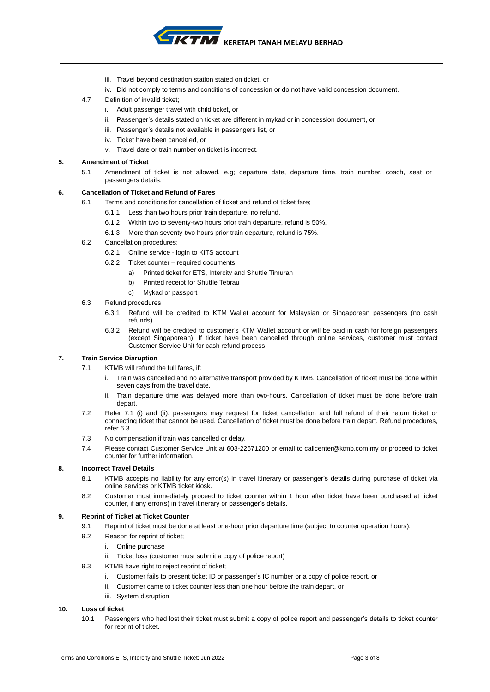

- iii. Travel beyond destination station stated on ticket, or
- iv. Did not comply to terms and conditions of concession or do not have valid concession document.
- 4.7 Definition of invalid ticket;
	- i. Adult passenger travel with child ticket, or
	- ii. Passenger's details stated on ticket are different in mykad or in concession document, or
	- iii. Passenger's details not available in passengers list, or
	- iv. Ticket have been cancelled, or
	- v. Travel date or train number on ticket is incorrect.

## **5. Amendment of Ticket**

5.1 Amendment of ticket is not allowed, e.g; departure date, departure time, train number, coach, seat or passengers details.

# **6. Cancellation of Ticket and Refund of Fares**

- 6.1 Terms and conditions for cancellation of ticket and refund of ticket fare;
	- 6.1.1 Less than two hours prior train departure, no refund.
	- 6.1.2 Within two to seventy-two hours prior train departure, refund is 50%.
	- 6.1.3 More than seventy-two hours prior train departure, refund is 75%.
- 6.2 Cancellation procedures:
	- 6.2.1 Online service login to KITS account
	- 6.2.2 Ticket counter required documents
		- a) Printed ticket for ETS, Intercity and Shuttle Timuran
		- b) Printed receipt for Shuttle Tebrau
		- c) Mykad or passport
- 6.3 Refund procedures
	- 6.3.1 Refund will be credited to KTM Wallet account for Malaysian or Singaporean passengers (no cash refunds)
	- 6.3.2 Refund will be credited to customer's KTM Wallet account or will be paid in cash for foreign passengers (except Singaporean). If ticket have been cancelled through online services, customer must contact Customer Service Unit for cash refund process.

# **7. Train Service Disruption**

- 7.1 KTMB will refund the full fares, if:
	- i. Train was cancelled and no alternative transport provided by KTMB. Cancellation of ticket must be done within seven days from the travel date.
	- ii. Train departure time was delayed more than two-hours. Cancellation of ticket must be done before train depart.
- 7.2 Refer 7.1 (i) and (ii), passengers may request for ticket cancellation and full refund of their return ticket or connecting ticket that cannot be used. Cancellation of ticket must be done before train depart. Refund procedures, refer 6.3.
- 7.3 No compensation if train was cancelled or delay.
- 7.4 Please contact Customer Service Unit at 603-22671200 or email to callcenter@ktmb.com.my or proceed to ticket counter for further information.

#### **8. Incorrect Travel Details**

- 8.1 KTMB accepts no liability for any error(s) in travel itinerary or passenger's details during purchase of ticket via online services or KTMB ticket kiosk.
- 8.2 Customer must immediately proceed to ticket counter within 1 hour after ticket have been purchased at ticket counter, if any error(s) in travel itinerary or passenger's details.

# **9. Reprint of Ticket at Ticket Counter**

- 9.1 Reprint of ticket must be done at least one-hour prior departure time (subject to counter operation hours).
- 9.2 Reason for reprint of ticket;
	- i. Online purchase
	- ii. Ticket loss (customer must submit a copy of police report)
- 9.3 KTMB have right to reject reprint of ticket;
	- i. Customer fails to present ticket ID or passenger's IC number or a copy of police report, or
	- ii. Customer came to ticket counter less than one hour before the train depart, or
	- iii. System disruption

# **10. Loss of ticket**

10.1 Passengers who had lost their ticket must submit a copy of police report and passenger's details to ticket counter for reprint of ticket.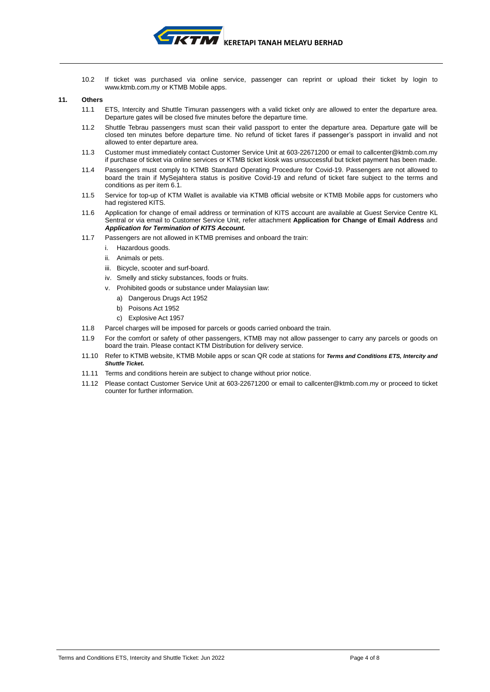

10.2 If ticket was purchased via online service, passenger can reprint or upload their ticket by login to [www.ktmb.com.my](http://www.ktmb.com.my/) or KTMB Mobile apps.

#### **11. Others**

- 11.1 ETS, Intercity and Shuttle Timuran passengers with a valid ticket only are allowed to enter the departure area. Departure gates will be closed five minutes before the departure time.
- 11.2 Shuttle Tebrau passengers must scan their valid passport to enter the departure area. Departure gate will be closed ten minutes before departure time. No refund of ticket fares if passenger's passport in invalid and not allowed to enter departure area.
- 11.3 Customer must immediately contact Customer Service Unit at 603-22671200 or email t[o callcenter@ktmb.com.my](mailto:callcenter@ktmb.com.my) if purchase of ticket via online services or KTMB ticket kiosk was unsuccessful but ticket payment has been made.
- 11.4 Passengers must comply to KTMB Standard Operating Procedure for Covid-19. Passengers are not allowed to board the train if MySejahtera status is positive Covid-19 and refund of ticket fare subject to the terms and conditions as per item 6.1.
- 11.5 Service for top-up of KTM Wallet is available via KTMB official website or KTMB Mobile apps for customers who had registered KITS.
- 11.6 Application for change of email address or termination of KITS account are available at Guest Service Centre KL Sentral or via email to Customer Service Unit, refer attachment **Application for Change of Email Address** and *Application for Termination of KITS Account.*
- 11.7 Passengers are not allowed in KTMB premises and onboard the train:
	- i. Hazardous goods.
	- ii. Animals or pets.
	- iii. Bicycle, scooter and surf-board.
	- iv. Smelly and sticky substances, foods or fruits.
	- v. Prohibited goods or substance under Malaysian law:
		- a) Dangerous Drugs Act 1952
		- b) Poisons Act 1952
		- c) Explosive Act 1957
- 11.8 Parcel charges will be imposed for parcels or goods carried onboard the train.
- 11.9 For the comfort or safety of other passengers, KTMB may not allow passenger to carry any parcels or goods on board the train. Please contact KTM Distribution for delivery service.
- 11.10 Refer to KTMB website, KTMB Mobile apps or scan QR code at stations for *Terms and Conditions ETS, Intercity and Shuttle Ticket.*
- 11.11 Terms and conditions herein are subject to change without prior notice.
- 11.12 Please contact Customer Service Unit at 603-22671200 or email to callcenter@ktmb.com.my or proceed to ticket counter for further information.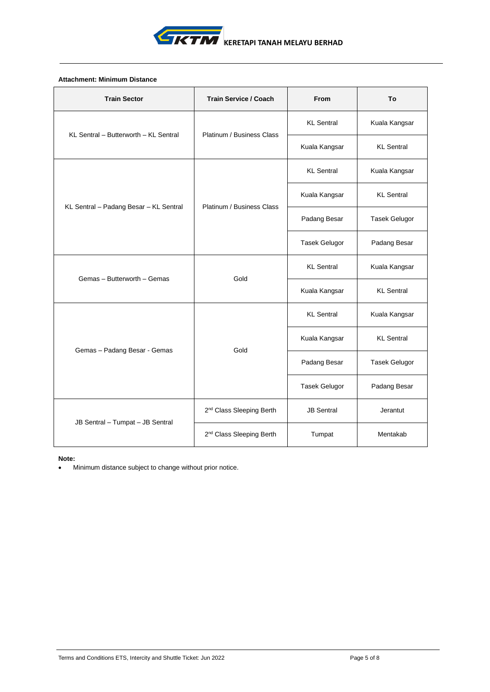

# **Attachment: Minimum Distance**

| <b>Train Sector</b>                    | <b>Train Service / Coach</b>         | From                 | To                   |
|----------------------------------------|--------------------------------------|----------------------|----------------------|
| KL Sentral - Butterworth - KL Sentral  | Platinum / Business Class            | <b>KL</b> Sentral    | Kuala Kangsar        |
|                                        |                                      | Kuala Kangsar        | <b>KL</b> Sentral    |
|                                        |                                      | <b>KL</b> Sentral    | Kuala Kangsar        |
|                                        | Platinum / Business Class            | Kuala Kangsar        | <b>KL</b> Sentral    |
| KL Sentral - Padang Besar - KL Sentral |                                      | Padang Besar         | <b>Tasek Gelugor</b> |
|                                        |                                      | <b>Tasek Gelugor</b> | Padang Besar         |
|                                        | Gold                                 | <b>KL</b> Sentral    | Kuala Kangsar        |
| Gemas - Butterworth - Gemas            |                                      | Kuala Kangsar        | <b>KL</b> Sentral    |
|                                        |                                      | <b>KL</b> Sentral    | Kuala Kangsar        |
|                                        | Gold                                 | Kuala Kangsar        | <b>KL</b> Sentral    |
| Gemas - Padang Besar - Gemas           |                                      | Padang Besar         | <b>Tasek Gelugor</b> |
|                                        |                                      | <b>Tasek Gelugor</b> | Padang Besar         |
|                                        | 2 <sup>nd</sup> Class Sleeping Berth | <b>JB Sentral</b>    | Jerantut             |
| JB Sentral - Tumpat - JB Sentral       | 2 <sup>nd</sup> Class Sleeping Berth | Tumpat               | Mentakab             |

## **Note:**

• Minimum distance subject to change without prior notice.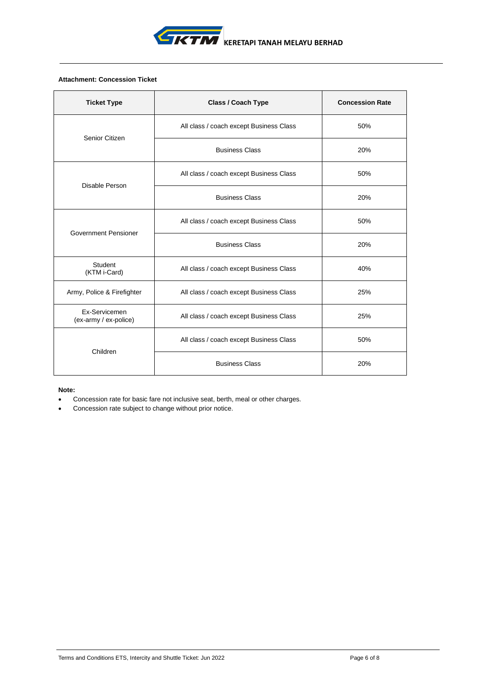

# **Attachment: Concession Ticket**

| <b>Ticket Type</b>                     | <b>Class / Coach Type</b>               | <b>Concession Rate</b> |
|----------------------------------------|-----------------------------------------|------------------------|
| Senior Citizen                         | All class / coach except Business Class | 50%                    |
|                                        | <b>Business Class</b>                   | 20%                    |
| Disable Person                         | All class / coach except Business Class | 50%                    |
|                                        | <b>Business Class</b>                   | 20%                    |
| <b>Government Pensioner</b>            | All class / coach except Business Class | 50%                    |
|                                        | <b>Business Class</b>                   | 20%                    |
| Student<br>(KTM i-Card)                | All class / coach except Business Class | 40%                    |
| Army, Police & Firefighter             | All class / coach except Business Class | 25%                    |
| Ex-Servicemen<br>(ex-army / ex-police) | All class / coach except Business Class | 25%                    |
| Children                               | All class / coach except Business Class | 50%                    |
|                                        | <b>Business Class</b>                   | 20%                    |

## **Note:**

- Concession rate for basic fare not inclusive seat, berth, meal or other charges.
- Concession rate subject to change without prior notice.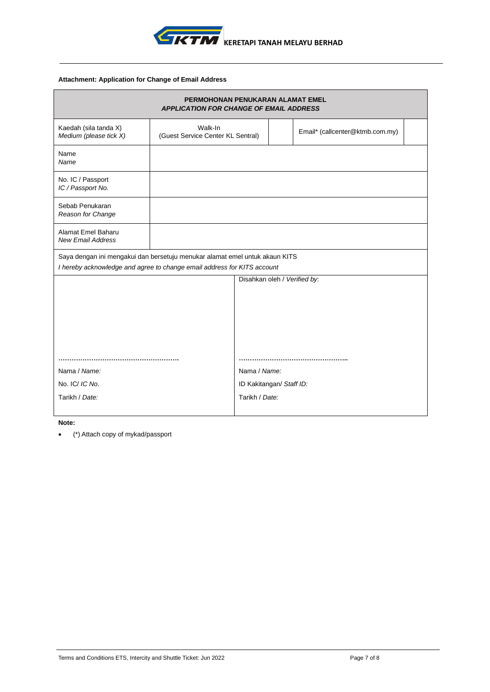

# **Attachment: Application for Change of Email Address**

|                                                                             | PERMOHONAN PENUKARAN ALAMAT EMEL<br><b>APPLICATION FOR CHANGE OF EMAIL ADDRESS</b> |                              |  |                                 |  |
|-----------------------------------------------------------------------------|------------------------------------------------------------------------------------|------------------------------|--|---------------------------------|--|
| Kaedah (sila tanda X)<br>Medium (please tick X)                             | Walk-In<br>(Guest Service Center KL Sentral)                                       |                              |  | Email* (callcenter@ktmb.com.my) |  |
| Name<br>Name                                                                |                                                                                    |                              |  |                                 |  |
| No. IC / Passport<br>IC / Passport No.                                      |                                                                                    |                              |  |                                 |  |
| Sebab Penukaran<br>Reason for Change                                        |                                                                                    |                              |  |                                 |  |
| Alamat Emel Baharu<br><b>New Email Address</b>                              |                                                                                    |                              |  |                                 |  |
| Saya dengan ini mengakui dan bersetuju menukar alamat emel untuk akaun KITS |                                                                                    |                              |  |                                 |  |
| I hereby acknowledge and agree to change email address for KITS account     |                                                                                    |                              |  |                                 |  |
|                                                                             |                                                                                    | Disahkan oleh / Verified by: |  |                                 |  |
|                                                                             |                                                                                    |                              |  |                                 |  |
|                                                                             |                                                                                    |                              |  |                                 |  |
|                                                                             |                                                                                    |                              |  |                                 |  |
|                                                                             |                                                                                    |                              |  |                                 |  |
|                                                                             |                                                                                    |                              |  |                                 |  |
|                                                                             |                                                                                    |                              |  |                                 |  |
| Nama / Name:                                                                |                                                                                    | Nama / Name:                 |  |                                 |  |
| No. IC/ IC No.                                                              |                                                                                    | ID Kakitangan/ Staff ID:     |  |                                 |  |
| Tarikh / Date:                                                              |                                                                                    | Tarikh / Date:               |  |                                 |  |
|                                                                             |                                                                                    |                              |  |                                 |  |

**Note:**

• (\*) Attach copy of mykad/passport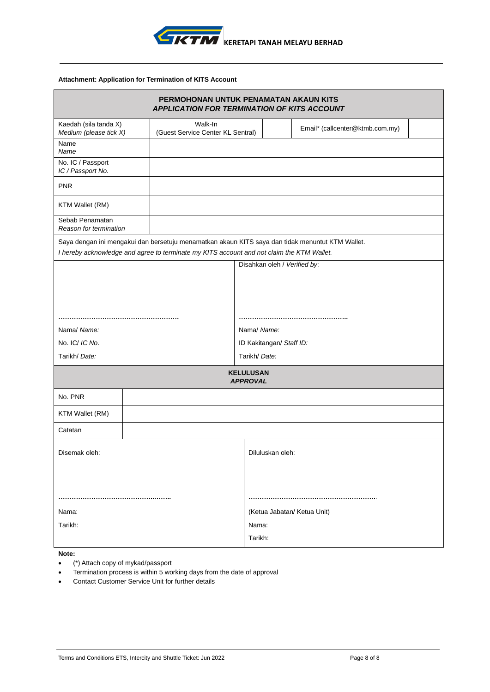

# **Attachment: Application for Termination of KITS Account**

|                                                 | PERMOHONAN UNTUK PENAMATAN AKAUN KITS<br>APPLICATION FOR TERMINATION OF KITS ACCOUNT                                                                                                          |                                     |                                 |  |  |  |  |
|-------------------------------------------------|-----------------------------------------------------------------------------------------------------------------------------------------------------------------------------------------------|-------------------------------------|---------------------------------|--|--|--|--|
| Kaedah (sila tanda X)<br>Medium (please tick X) | Walk-In<br>(Guest Service Center KL Sentral)                                                                                                                                                  |                                     | Email* (callcenter@ktmb.com.my) |  |  |  |  |
| Name<br>Name                                    |                                                                                                                                                                                               |                                     |                                 |  |  |  |  |
| No. IC / Passport<br>IC / Passport No.          |                                                                                                                                                                                               |                                     |                                 |  |  |  |  |
| <b>PNR</b>                                      |                                                                                                                                                                                               |                                     |                                 |  |  |  |  |
| KTM Wallet (RM)                                 |                                                                                                                                                                                               |                                     |                                 |  |  |  |  |
| Sebab Penamatan<br>Reason for termination       |                                                                                                                                                                                               |                                     |                                 |  |  |  |  |
|                                                 | Saya dengan ini mengakui dan bersetuju menamatkan akaun KITS saya dan tidak menuntut KTM Wallet.<br>I hereby acknowledge and agree to terminate my KITS account and not claim the KTM Wallet. |                                     |                                 |  |  |  |  |
|                                                 |                                                                                                                                                                                               |                                     | Disahkan oleh / Verified by:    |  |  |  |  |
|                                                 |                                                                                                                                                                                               |                                     |                                 |  |  |  |  |
|                                                 |                                                                                                                                                                                               |                                     |                                 |  |  |  |  |
|                                                 |                                                                                                                                                                                               |                                     |                                 |  |  |  |  |
| Nama/ Name:                                     |                                                                                                                                                                                               | Nama/ Name:                         |                                 |  |  |  |  |
| No. IC/ IC No.                                  |                                                                                                                                                                                               |                                     | ID Kakitangan/ Staff ID:        |  |  |  |  |
| Tarikh/ Date:                                   |                                                                                                                                                                                               |                                     | Tarikh/ Date:                   |  |  |  |  |
|                                                 |                                                                                                                                                                                               | <b>KELULUSAN</b><br><b>APPROVAL</b> |                                 |  |  |  |  |
| No. PNR                                         |                                                                                                                                                                                               |                                     |                                 |  |  |  |  |
| KTM Wallet (RM)                                 |                                                                                                                                                                                               |                                     |                                 |  |  |  |  |
| Catatan                                         |                                                                                                                                                                                               |                                     |                                 |  |  |  |  |
| Disemak oleh:                                   |                                                                                                                                                                                               |                                     | Diluluskan oleh:                |  |  |  |  |
|                                                 |                                                                                                                                                                                               |                                     |                                 |  |  |  |  |
|                                                 |                                                                                                                                                                                               |                                     |                                 |  |  |  |  |
| Nama:                                           |                                                                                                                                                                                               |                                     | (Ketua Jabatan/ Ketua Unit)     |  |  |  |  |
| Tarikh:                                         |                                                                                                                                                                                               | Nama:                               |                                 |  |  |  |  |
|                                                 |                                                                                                                                                                                               | Tarikh:                             |                                 |  |  |  |  |

**Note:** 

• (\*) Attach copy of mykad/passport

• Termination process is within 5 working days from the date of approval

• Contact Customer Service Unit for further details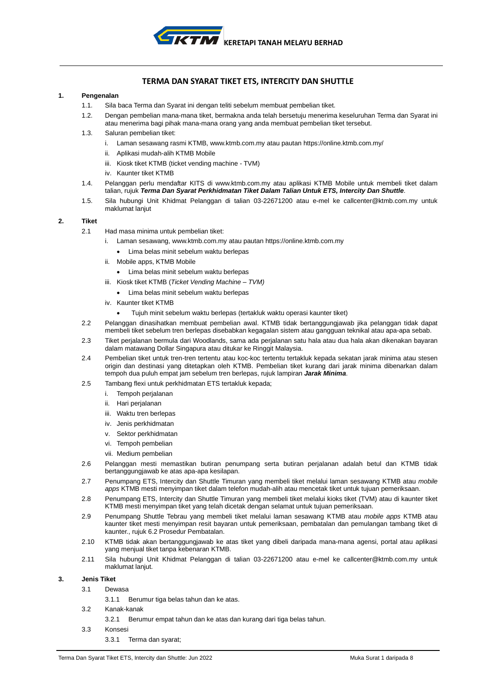

# **TERMA DAN SYARAT TIKET ETS, INTERCITY DAN SHUTTLE**

## **1. Pengenalan**

- 1.1. Sila baca Terma dan Syarat ini dengan teliti sebelum membuat pembelian tiket.
- 1.2. Dengan pembelian mana-mana tiket, bermakna anda telah bersetuju menerima keseluruhan Terma dan Syarat ini atau menerima bagi pihak mana-mana orang yang anda membuat pembelian tiket tersebut.
- 1.3. Saluran pembelian tiket:
	- i. Laman sesawang rasmi KTMB[, www.ktmb.com.my](http://www.ktmb.com.my/) atau pautan https://online.ktmb.com.my/
	- ii. Aplikasi mudah-alih KTMB Mobile
	- iii. Kiosk tiket KTMB (ticket vending machine TVM)
	- iv. Kaunter tiket KTMB
- 1.4. Pelanggan perlu mendaftar KITS di [www.ktmb.com.my](http://www.ktmb.com.my/) atau aplikasi KTMB Mobile untuk membeli tiket dalam talian, rujuk *Terma Dan Syarat Perkhidmatan Tiket Dalam Talian Untuk ETS, Intercity Dan Shuttle*.
- 1.5. Sila hubungi Unit Khidmat Pelanggan di talian 03-22671200 atau e-mel ke callcenter@ktmb.com.my untuk maklumat lanjut

### **2. Tiket**

- 2.1 Had masa minima untuk pembelian tiket:
	- i. Laman sesawang, [www.ktmb.com.my](http://www.ktmb.com.my/) atau pautan https://online.ktmb.com.my
		- Lima belas minit sebelum waktu berlepas
	- ii. Mobile apps, KTMB Mobile
		- Lima belas minit sebelum waktu berlepas
	- iii. Kiosk tiket KTMB (*Ticket Vending Machine – TVM)*
		- Lima belas minit sebelum waktu berlepas
	- iv. Kaunter tiket KTMB
		- Tujuh minit sebelum waktu berlepas (tertakluk waktu operasi kaunter tiket)
- 2.2 Pelanggan dinasihatkan membuat pembelian awal. KTMB tidak bertanggungjawab jika pelanggan tidak dapat membeli tiket sebelum tren berlepas disebabkan kegagalan sistem atau gangguan teknikal atau apa-apa sebab.
- 2.3 Tiket perjalanan bermula dari Woodlands, sama ada perjalanan satu hala atau dua hala akan dikenakan bayaran dalam matawang Dollar Singapura atau ditukar ke Ringgit Malaysia.
- 2.4 Pembelian tiket untuk tren-tren tertentu atau koc-koc tertentu tertakluk kepada sekatan jarak minima atau stesen origin dan destinasi yang ditetapkan oleh KTMB. Pembelian tiket kurang dari jarak minima dibenarkan dalam tempoh dua puluh empat jam sebelum tren berlepas, rujuk lampiran *Jarak Minima*.
- 2.5 Tambang flexi untuk perkhidmatan ETS tertakluk kepada;
	- i. Tempoh perjalanan
	- ii. Hari perjalanan
	- iii. Waktu tren berlepas
	- iv. Jenis perkhidmatan
	- v. Sektor perkhidmatan
	- vi. Tempoh pembelian
	- vii. Medium pembelian
- 2.6 Pelanggan mesti memastikan butiran penumpang serta butiran perjalanan adalah betul dan KTMB tidak bertanggungjawab ke atas apa-apa kesilapan.
- 2.7 Penumpang ETS, Intercity dan Shuttle Timuran yang membeli tiket melalui laman sesawang KTMB atau *mobile apps* KTMB mesti menyimpan tiket dalam telefon mudah-alih atau mencetak tiket untuk tujuan pemeriksaan.
- 2.8 Penumpang ETS, Intercity dan Shuttle Timuran yang membeli tiket melalui kioks tiket (TVM) atau di kaunter tiket KTMB mesti menyimpan tiket yang telah dicetak dengan selamat untuk tujuan pemeriksaan.
- 2.9 Penumpang Shuttle Tebrau yang membeli tiket melalui laman sesawang KTMB atau *mobile apps* KTMB atau kaunter tiket mesti menyimpan resit bayaran untuk pemeriksaan, pembatalan dan pemulangan tambang tiket di kaunter., rujuk 6.2 Prosedur Pembatalan.
- 2.10 KTMB tidak akan bertanggungjawab ke atas tiket yang dibeli daripada mana-mana agensi, portal atau aplikasi yang menjual tiket tanpa kebenaran KTMB.
- 2.11 Sila hubungi Unit Khidmat Pelanggan di talian 03-22671200 atau e-mel ke callcenter@ktmb.com.my untuk maklumat lanjut.

## **3. Jenis Tiket**

- 3.1 Dewasa
	- 3.1.1 Berumur tiga belas tahun dan ke atas.
- 3.2 Kanak-kanak
	- 3.2.1 Berumur empat tahun dan ke atas dan kurang dari tiga belas tahun.
- 3.3 Konsesi
	- 3.3.1 Terma dan syarat;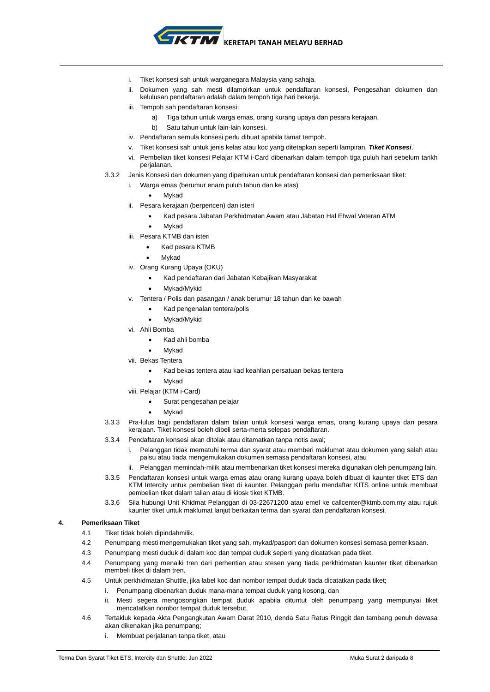

- i. Tiket konsesi sah untuk warganegara Malaysia yang sahaja.
- ii. Dokumen yang sah mesti dilampirkan untuk pendaftaran konsesi, Pengesahan dokumen dan kelulusan pendaftaran adalah dalam tempoh tiga hari bekerja.
- iii. Tempoh sah pendaftaran konsesi:
	- a) Tiga tahun untuk warga emas, orang kurang upaya dan pesara kerajaan.
	- b) Satu tahun untuk lain-lain konsesi.
- iv. Pendaftaran semula konsesi perlu dibuat apabila tamat tempoh.
- v. Tiket konsesi sah untuk jenis kelas atau koc yang ditetapkan seperti lampiran, *Tiket Konsesi*.
- Pembelian tiket konsesi Pelajar KTM i-Card dibenarkan dalam tempoh tiga puluh hari sebelum tarikh perjalanan.
- 3.3.2 Jenis Konsesi dan dokumen yang diperlukan untuk pendaftaran konsesi dan pemeriksaan tiket:
	- i. Warga emas (berumur enam puluh tahun dan ke atas)
		- **Mykad**
	- ii. Pesara kerajaan (berpencen) dan isteri
		- Kad pesara Jabatan Perkhidmatan Awam atau Jabatan Hal Ehwal Veteran ATM
		- **Mykad**
	- iii. Pesara KTMB dan isteri
		- Kad pesara KTMB
		- **Mykad**
	- iv. Orang Kurang Upaya (OKU)
		- Kad pendaftaran dari Jabatan Kebajikan Masyarakat
		- Mykad/Mykid
	- v. Tentera / Polis dan pasangan / anak berumur 18 tahun dan ke bawah
		- Kad pengenalan tentera/polis
		- Mykad/Mykid
	- vi. Ahli Bomba
		- Kad ahli bomba
			- **Mykad**
	- vii. Bekas Tentera
		- Kad bekas tentera atau kad keahlian persatuan bekas tentera
			- **M**vkad
	- viii. Pelajar (KTM i-Card)
		- Surat pengesahan pelajar
		- **Mykad**
- 3.3.3 Pra-lulus bagi pendaftaran dalam talian untuk konsesi warga emas, orang kurang upaya dan pesara kerajaan. Tiket konsesi boleh dibeli serta-merta selepas pendaftaran.
- 3.3.4 Pendaftaran konsesi akan ditolak atau ditamatkan tanpa notis awal;
	- i. Pelanggan tidak mematuhi terma dan syarat atau memberi maklumat atau dokumen yang salah atau palsu atau tiada mengemukakan dokumen semasa pendaftaran konsesi, atau
	- Pelanggan memindah-milik atau membenarkan tiket konsesi mereka digunakan oleh penumpang lain.
- 3.3.5 Pendaftaran konsesi untuk warga emas atau orang kurang upaya boleh dibuat di kaunter tiket ETS dan KTM Intercity untuk pembelian tiket di kaunter. Pelanggan perlu mendaftar KITS online untuk membuat pembelian tiket dalam talian atau di kiosk tiket KTMB.
- 3.3.6 Sila hubungi Unit Khidmat Pelanggan di 03-22671200 atau emel ke callcenter@ktmb.com.my atau rujuk kaunter tiket untuk maklumat lanjut berkaitan terma dan syarat dan pendaftaran konsesi.

# **4. Pemeriksaan Tiket**

- 4.1 Tiket tidak boleh dipindahmilik.
- 4.2 Penumpang mesti mengemukakan tiket yang sah, mykad/pasport dan dokumen konsesi semasa pemeriksaan.
- 4.3 Penumpang mesti duduk di dalam koc dan tempat duduk seperti yang dicatatkan pada tiket.
- 4.4 Penumpang yang menaiki tren dari perhentian atau stesen yang tiada perkhidmatan kaunter tiket dibenarkan membeli tiket di dalam tren.
- 4.5 Untuk perkhidmatan Shuttle, jika label koc dan nombor tempat duduk tiada dicatatkan pada tiket;
	- i. Penumpang dibenarkan duduk mana-mana tempat duduk yang kosong, dan
	- ii. Mesti segera mengosongkan tempat duduk apabila dituntut oleh penumpang yang mempunyai tiket mencatatkan nombor tempat duduk tersebut.
- 4.6 Tertakluk kepada Akta Pengangkutan Awam Darat 2010, denda Satu Ratus Ringgit dan tambang penuh dewasa akan dikenakan jika penumpang;
	- Membuat perjalanan tanpa tiket, atau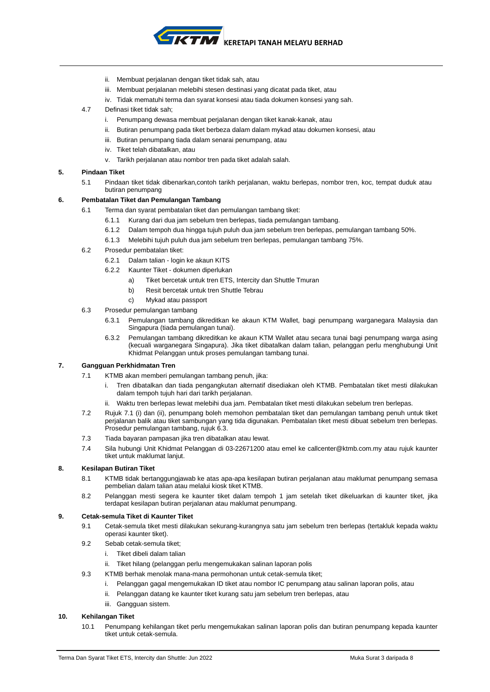**KERETAPI TANAH MELAYU BERHAD**

- ii. Membuat perjalanan dengan tiket tidak sah, atau
- iii. Membuat perjalanan melebihi stesen destinasi yang dicatat pada tiket, atau
- iv. Tidak mematuhi terma dan syarat konsesi atau tiada dokumen konsesi yang sah.
- 4.7 Definasi tiket tidak sah;
	- i. Penumpang dewasa membuat perjalanan dengan tiket kanak-kanak, atau
	- ii. Butiran penumpang pada tiket berbeza dalam dalam mykad atau dokumen konsesi, atau
	- iii. Butiran penumpang tiada dalam senarai penumpang, atau
	- iv. Tiket telah dibatalkan, atau
	- v. Tarikh perjalanan atau nombor tren pada tiket adalah salah.

## **5. Pindaan Tiket**

5.1 Pindaan tiket tidak dibenarkan,contoh tarikh perjalanan, waktu berlepas, nombor tren, koc, tempat duduk atau butiran penumpang

## **6. Pembatalan Tiket dan Pemulangan Tambang**

- 6.1 Terma dan syarat pembatalan tiket dan pemulangan tambang tiket:
	- 6.1.1 Kurang dari dua jam sebelum tren berlepas, tiada pemulangan tambang.
	- 6.1.2 Dalam tempoh dua hingga tujuh puluh dua jam sebelum tren berlepas, pemulangan tambang 50%.
	- 6.1.3 Melebihi tujuh puluh dua jam sebelum tren berlepas, pemulangan tambang 75%.
- 6.2 Prosedur pembatalan tiket:
	- 6.2.1 Dalam talian login ke akaun KITS
	- 6.2.2 Kaunter Tiket dokumen diperlukan
		- a) Tiket bercetak untuk tren ETS, Intercity dan Shuttle Tmuran
		- b) Resit bercetak untuk tren Shuttle Tebrau
	- c) Mykad atau passport
- 6.3 Prosedur pemulangan tambang
	- 6.3.1 Pemulangan tambang dikreditkan ke akaun KTM Wallet, bagi penumpang warganegara Malaysia dan Singapura (tiada pemulangan tunai).
	- 6.3.2 Pemulangan tambang dikreditkan ke akaun KTM Wallet atau secara tunai bagi penumpang warga asing (kecuali warganegara Singapura). Jika tiket dibatalkan dalam talian, pelanggan perlu menghubungi Unit Khidmat Pelanggan untuk proses pemulangan tambang tunai.

## **7. Gangguan Perkhidmatan Tren**

- 7.1 KTMB akan memberi pemulangan tambang penuh, jika:
	- i. Tren dibatalkan dan tiada pengangkutan alternatif disediakan oleh KTMB. Pembatalan tiket mesti dilakukan dalam tempoh tujuh hari dari tarikh perjalanan.
	- ii. Waktu tren berlepas lewat melebihi dua jam. Pembatalan tiket mesti dilakukan sebelum tren berlepas.
- 7.2 Rujuk 7.1 (i) dan (ii), penumpang boleh memohon pembatalan tiket dan pemulangan tambang penuh untuk tiket perjalanan balik atau tiket sambungan yang tida digunakan. Pembatalan tiket mesti dibuat sebelum tren berlepas. Prosedur pemulangan tambang, rujuk 6.3.
- 7.3 Tiada bayaran pampasan jika tren dibatalkan atau lewat.
- 7.4 Sila hubungi Unit Khidmat Pelanggan di 03-22671200 atau emel ke [callcenter@ktmb.com.my](mailto:callcenter@ktmb.com.my) atau rujuk kaunter tiket untuk maklumat lanjut.

## **8. Kesilapan Butiran Tiket**

- 8.1 KTMB tidak bertanggungjawab ke atas apa-apa kesilapan butiran perjalanan atau maklumat penumpang semasa pembelian dalam talian atau melalui kiosk tiket KTMB.
- 8.2 Pelanggan mesti segera ke kaunter tiket dalam tempoh 1 jam setelah tiket dikeluarkan di kaunter tiket, jika terdapat kesilapan butiran perjalanan atau maklumat penumpang.

# **9. Cetak-semula Tiket di Kaunter Tiket**

- 9.1 Cetak-semula tiket mesti dilakukan sekurang-kurangnya satu jam sebelum tren berlepas (tertakluk kepada waktu operasi kaunter tiket).
- 9.2 Sebab cetak-semula tiket;
	- i. Tiket dibeli dalam talian
	- ii. Tiket hilang (pelanggan perlu mengemukakan salinan laporan polis
- 9.3 KTMB berhak menolak mana-mana permohonan untuk cetak-semula tiket;
	- i. Pelanggan gagal mengemukakan ID tiket atau nombor IC penumpang atau salinan laporan polis, atau
	- ii. Pelanggan datang ke kaunter tiket kurang satu jam sebelum tren berlepas, atau
	- iii. Gangguan sistem.

## **10. Kehilangan Tiket**

10.1 Penumpang kehilangan tiket perlu mengemukakan salinan laporan polis dan butiran penumpang kepada kaunter tiket untuk cetak-semula.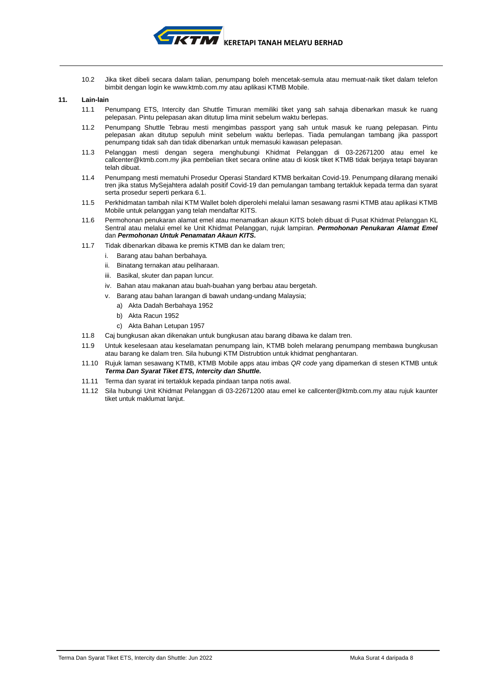

10.2 Jika tiket dibeli secara dalam talian, penumpang boleh mencetak-semula atau memuat-naik tiket dalam telefon bimbit dengan login ke [www.ktmb.com.my](http://www.ktmb.com.my/) atau aplikasi KTMB Mobile.

### **11. Lain-lain**

- 11.1 Penumpang ETS, Intercity dan Shuttle Timuran memiliki tiket yang sah sahaja dibenarkan masuk ke ruang pelepasan. Pintu pelepasan akan ditutup lima minit sebelum waktu berlepas.
- 11.2 Penumpang Shuttle Tebrau mesti mengimbas passport yang sah untuk masuk ke ruang pelepasan. Pintu pelepasan akan ditutup sepuluh minit sebelum waktu berlepas. Tiada pemulangan tambang jika passport penumpang tidak sah dan tidak dibenarkan untuk memasuki kawasan pelepasan.
- 11.3 Pelanggan mesti dengan segera menghubungi Khidmat Pelanggan di 03-22671200 atau emel ke [callcenter@ktmb.com.my](mailto:callcenter@ktmb.com.my) jika pembelian tiket secara online atau di kiosk tiket KTMB tidak berjaya tetapi bayaran telah dibuat.
- 11.4 Penumpang mesti mematuhi Prosedur Operasi Standard KTMB berkaitan Covid-19. Penumpang dilarang menaiki tren jika status MySejahtera adalah positif Covid-19 dan pemulangan tambang tertakluk kepada terma dan syarat serta prosedur seperti perkara 6.1.
- 11.5 Perkhidmatan tambah nilai KTM Wallet boleh diperolehi melalui laman sesawang rasmi KTMB atau aplikasi KTMB Mobile untuk pelanggan yang telah mendaftar KITS.
- 11.6 Permohonan penukaran alamat emel atau menamatkan akaun KITS boleh dibuat di Pusat Khidmat Pelanggan KL Sentral atau melalui emel ke Unit Khidmat Pelanggan, rujuk lampiran. *Permohonan Penukaran Alamat Emel* dan *Permohonan Untuk Penamatan Akaun KITS.*
- 11.7 Tidak dibenarkan dibawa ke premis KTMB dan ke dalam tren;
	- i. Barang atau bahan berbahaya.
	- ii. Binatang ternakan atau peliharaan.
	- iii. Basikal, skuter dan papan luncur.
	- iv. Bahan atau makanan atau buah-buahan yang berbau atau bergetah.
	- v. Barang atau bahan larangan di bawah undang-undang Malaysia;
		- a) Akta Dadah Berbahaya 1952
		- b) Akta Racun 1952
		- c) Akta Bahan Letupan 1957
- 11.8 Caj bungkusan akan dikenakan untuk bungkusan atau barang dibawa ke dalam tren.
- 11.9 Untuk keselesaan atau keselamatan penumpang lain, KTMB boleh melarang penumpang membawa bungkusan atau barang ke dalam tren. Sila hubungi KTM Distrubtion untuk khidmat penghantaran.
- 11.10 Rujuk laman sesawang KTMB, KTMB Mobile apps atau imbas *QR code* yang dipamerkan di stesen KTMB untuk *Terma Dan Syarat Tiket ETS, Intercity dan Shuttle.*
- 11.11 Terma dan syarat ini tertakluk kepada pindaan tanpa notis awal.
- 11.12 Sila hubungi Unit Khidmat Pelanggan di 03-22671200 atau emel ke [callcenter@ktmb.com.my](mailto:callcenter@ktmb.com.my) atau rujuk kaunter tiket untuk maklumat lanjut.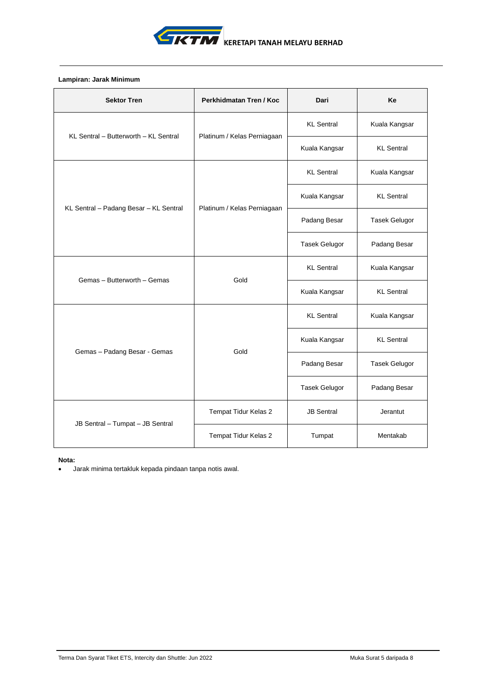

# **Lampiran: Jarak Minimum**

| <b>Sektor Tren</b>                     | Perkhidmatan Tren / Koc     | Dari                 | Ke                   |
|----------------------------------------|-----------------------------|----------------------|----------------------|
| KL Sentral - Butterworth - KL Sentral  | Platinum / Kelas Perniagaan | <b>KL</b> Sentral    | Kuala Kangsar        |
|                                        |                             | Kuala Kangsar        | <b>KL</b> Sentral    |
|                                        |                             | <b>KL</b> Sentral    | Kuala Kangsar        |
|                                        |                             | Kuala Kangsar        | <b>KL</b> Sentral    |
| KL Sentral - Padang Besar - KL Sentral | Platinum / Kelas Perniagaan | Padang Besar         | <b>Tasek Gelugor</b> |
|                                        |                             | <b>Tasek Gelugor</b> | Padang Besar         |
|                                        | Gold                        | <b>KL</b> Sentral    | Kuala Kangsar        |
| Gemas - Butterworth - Gemas            |                             | Kuala Kangsar        | <b>KL</b> Sentral    |
|                                        |                             | <b>KL</b> Sentral    | Kuala Kangsar        |
| Gemas - Padang Besar - Gemas           | Gold                        | Kuala Kangsar        | <b>KL</b> Sentral    |
|                                        |                             | Padang Besar         | <b>Tasek Gelugor</b> |
|                                        |                             | Tasek Gelugor        | Padang Besar         |
|                                        | Tempat Tidur Kelas 2        | <b>JB Sentral</b>    | Jerantut             |
| JB Sentral - Tumpat - JB Sentral       | Tempat Tidur Kelas 2        | Tumpat               | Mentakab             |

**Nota:**

• Jarak minima tertakluk kepada pindaan tanpa notis awal.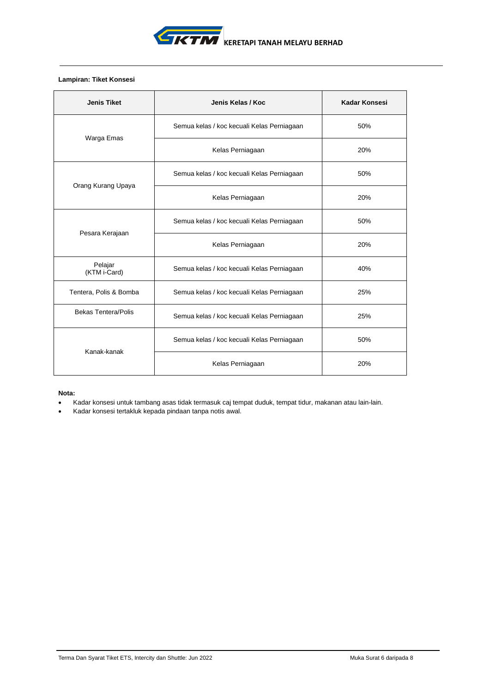

# **Lampiran: Tiket Konsesi**

| <b>Jenis Tiket</b>         | Jenis Kelas / Koc                          | Kadar Konsesi |
|----------------------------|--------------------------------------------|---------------|
|                            | Semua kelas / koc kecuali Kelas Perniagaan | 50%           |
| Warga Emas                 | Kelas Perniagaan                           | 20%           |
| Orang Kurang Upaya         | Semua kelas / koc kecuali Kelas Perniagaan | 50%           |
|                            | Kelas Perniagaan                           | 20%           |
|                            | Semua kelas / koc kecuali Kelas Perniagaan | 50%           |
| Pesara Kerajaan            | Kelas Perniagaan                           | 20%           |
| Pelajar<br>(KTM i-Card)    | Semua kelas / koc kecuali Kelas Perniagaan | 40%           |
| Tentera, Polis & Bomba     | Semua kelas / koc kecuali Kelas Perniagaan | 25%           |
| <b>Bekas Tentera/Polis</b> | Semua kelas / koc kecuali Kelas Perniagaan | 25%           |
| Kanak-kanak                | Semua kelas / koc kecuali Kelas Perniagaan | 50%           |
|                            | Kelas Perniagaan                           | 20%           |

# **Nota:**

- Kadar konsesi untuk tambang asas tidak termasuk caj tempat duduk, tempat tidur, makanan atau lain-lain.
- Kadar konsesi tertakluk kepada pindaan tanpa notis awal.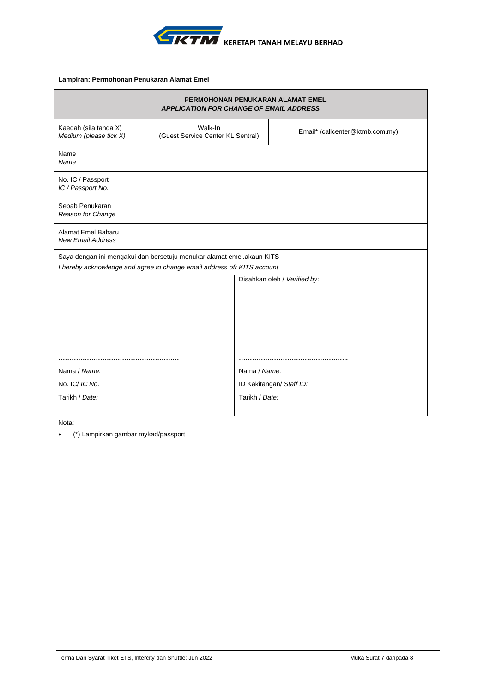

# **Lampiran: Permohonan Penukaran Alamat Emel**

|                                                                         | PERMOHONAN PENUKARAN ALAMAT EMEL<br><b>APPLICATION FOR CHANGE OF EMAIL ADDRESS</b> |                              |  |                                 |
|-------------------------------------------------------------------------|------------------------------------------------------------------------------------|------------------------------|--|---------------------------------|
| Kaedah (sila tanda X)<br>Medium (please tick X)                         | Walk-In<br>(Guest Service Center KL Sentral)                                       |                              |  | Email* (callcenter@ktmb.com.my) |
| Name<br>Name                                                            |                                                                                    |                              |  |                                 |
| No. IC / Passport<br>IC / Passport No.                                  |                                                                                    |                              |  |                                 |
| Sebab Penukaran<br>Reason for Change                                    |                                                                                    |                              |  |                                 |
| Alamat Emel Baharu<br><b>New Email Address</b>                          |                                                                                    |                              |  |                                 |
| Saya dengan ini mengakui dan bersetuju menukar alamat emel.akaun KITS   |                                                                                    |                              |  |                                 |
| I hereby acknowledge and agree to change email address ofr KITS account |                                                                                    |                              |  |                                 |
|                                                                         |                                                                                    | Disahkan oleh / Verified by: |  |                                 |
|                                                                         |                                                                                    |                              |  |                                 |
|                                                                         |                                                                                    |                              |  |                                 |
| Nama / Name:                                                            |                                                                                    | Nama / Name:                 |  |                                 |
| No. IC/ IC No.                                                          |                                                                                    | ID Kakitangan/ Staff ID:     |  |                                 |
| Tarikh / Date:                                                          |                                                                                    | Tarikh / Date:               |  |                                 |

Nota:

• (\*) Lampirkan gambar mykad/passport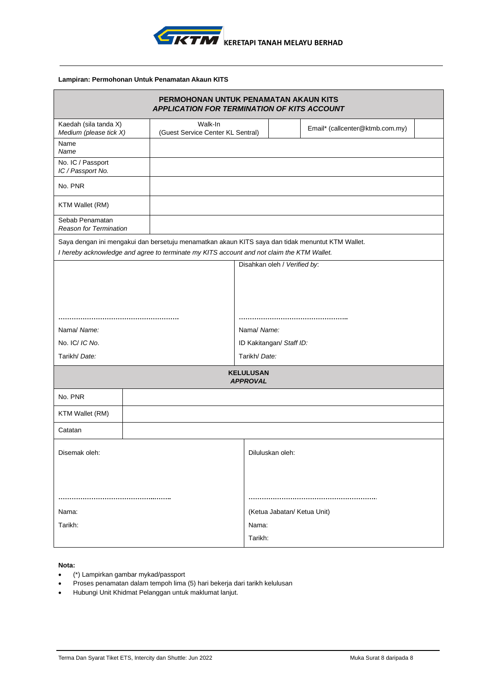

# **Lampiran: Permohonan Untuk Penamatan Akaun KITS**

| PERMOHONAN UNTUK PENAMATAN AKAUN KITS<br><b>APPLICATION FOR TERMINATION OF KITS ACCOUNT</b> |  |                                                                                                  |             |                                     |                              |                                 |  |  |
|---------------------------------------------------------------------------------------------|--|--------------------------------------------------------------------------------------------------|-------------|-------------------------------------|------------------------------|---------------------------------|--|--|
| Kaedah (sila tanda X)<br>Medium (please tick X)                                             |  | Walk-In<br>(Guest Service Center KL Sentral)                                                     |             |                                     |                              | Email* (callcenter@ktmb.com.my) |  |  |
| Name<br>Name                                                                                |  |                                                                                                  |             |                                     |                              |                                 |  |  |
| No. IC / Passport<br>IC / Passport No.                                                      |  |                                                                                                  |             |                                     |                              |                                 |  |  |
| No. PNR                                                                                     |  |                                                                                                  |             |                                     |                              |                                 |  |  |
| KTM Wallet (RM)                                                                             |  |                                                                                                  |             |                                     |                              |                                 |  |  |
| Sebab Penamatan<br><b>Reason for Termination</b>                                            |  |                                                                                                  |             |                                     |                              |                                 |  |  |
|                                                                                             |  | Saya dengan ini mengakui dan bersetuju menamatkan akaun KITS saya dan tidak menuntut KTM Wallet. |             |                                     |                              |                                 |  |  |
|                                                                                             |  | I hereby acknowledge and agree to terminate my KITS account and not claim the KTM Wallet.        |             |                                     | Disahkan oleh / Verified by: |                                 |  |  |
|                                                                                             |  |                                                                                                  |             |                                     |                              |                                 |  |  |
|                                                                                             |  |                                                                                                  |             |                                     |                              |                                 |  |  |
|                                                                                             |  |                                                                                                  |             |                                     |                              |                                 |  |  |
|                                                                                             |  |                                                                                                  |             |                                     |                              |                                 |  |  |
| Nama/ Name:                                                                                 |  |                                                                                                  | Nama/ Name: |                                     |                              |                                 |  |  |
| No. IC/ IC No.                                                                              |  |                                                                                                  |             | ID Kakitangan/ Staff ID:            |                              |                                 |  |  |
| Tarikh/ Date:                                                                               |  |                                                                                                  |             | Tarikh/ Date:                       |                              |                                 |  |  |
|                                                                                             |  |                                                                                                  |             | <b>KELULUSAN</b><br><b>APPROVAL</b> |                              |                                 |  |  |
| No. PNR                                                                                     |  |                                                                                                  |             |                                     |                              |                                 |  |  |
| KTM Wallet (RM)                                                                             |  |                                                                                                  |             |                                     |                              |                                 |  |  |
| Catatan                                                                                     |  |                                                                                                  |             |                                     |                              |                                 |  |  |
| Disemak oleh:                                                                               |  |                                                                                                  |             | Diluluskan oleh:                    |                              |                                 |  |  |
|                                                                                             |  |                                                                                                  |             |                                     |                              |                                 |  |  |
|                                                                                             |  |                                                                                                  |             |                                     |                              |                                 |  |  |
| Nama:                                                                                       |  |                                                                                                  |             |                                     |                              | (Ketua Jabatan/ Ketua Unit)     |  |  |
| Tarikh:                                                                                     |  |                                                                                                  |             | Nama:                               |                              |                                 |  |  |
|                                                                                             |  |                                                                                                  |             | Tarikh:                             |                              |                                 |  |  |

# **Nota:**

- (\*) Lampirkan gambar mykad/passport
- Proses penamatan dalam tempoh lima (5) hari bekerja dari tarikh kelulusan
- Hubungi Unit Khidmat Pelanggan untuk maklumat lanjut.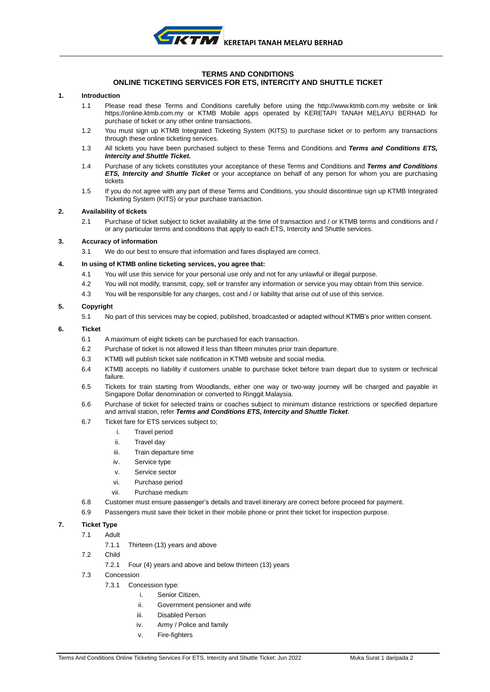

#### **TERMS AND CONDITIONS ONLINE TICKETING SERVICES FOR ETS, INTERCITY AND SHUTTLE TICKET**

### **1. Introduction**

- 1.1 Please read these Terms and Conditions carefully before using the http:/[/www.ktmb.com.my](http://www.ktmb.com.my/) website or link https://online.ktmb.com.my or KTMB Mobile apps operated by KERETAPI TANAH MELAYU BERHAD for purchase of ticket or any other online transactions.
- 1.2 You must sign up KTMB Integrated Ticketing System (KITS) to purchase ticket or to perform any transactions through these online ticketing services.
- 1.3 All tickets you have been purchased subject to these Terms and Conditions and *Terms and Conditions ETS, Intercity and Shuttle Ticket.*
- 1.4 Purchase of any tickets constitutes your acceptance of these Terms and Conditions and *Terms and Conditions ETS, Intercity and Shuttle Ticket* or your acceptance on behalf of any person for whom you are purchasing tickets
- 1.5 If you do not agree with any part of these Terms and Conditions, you should discontinue sign up KTMB Integrated Ticketing System (KITS) or your purchase transaction.

## **2. Availability of tickets**

2.1 Purchase of ticket subject to ticket availability at the time of transaction and / or KTMB terms and conditions and / or any particular terms and conditions that apply to each ETS, Intercity and Shuttle services.

## **3. Accuracy of information**

3.1 We do our best to ensure that information and fares displayed are correct.

## **4. In using of KTMB online ticketing services, you agree that:**

- 4.1 You will use this service for your personal use only and not for any unlawful or illegal purpose.
- 4.2 You will not modify, transmit, copy, sell or transfer any information or service you may obtain from this service.
- 4.3 You will be responsible for any charges, cost and / or liability that arise out of use of this service.

## **5. Copyright**

5.1 No part of this services may be copied, published, broadcasted or adapted without KTMB's prior written consent.

#### **6. Ticket**

- 6.1 A maximum of eight tickets can be purchased for each transaction.
- 6.2 Purchase of ticket is not allowed if less than fifteen minutes prior train departure.
- 6.3 KTMB will publish ticket sale notification in KTMB website and social media.
- 6.4 KTMB accepts no liability if customers unable to purchase ticket before train depart due to system or technical failure.
- 6.5 Tickets for train starting from Woodlands, either one way or two-way journey will be charged and payable in Singapore Dollar denomination or converted to Ringgit Malaysia.
- 6.6 Purchase of ticket for selected trains or coaches subject to minimum distance restrictions or specified departure and arrival station, refer *Terms and Conditions ETS, Intercity and Shuttle Ticket*.
- 6.7 Ticket fare for ETS services subject to;
	- i. Travel period
	- ii. Travel day
	- iii. Train departure time
	- iv. Service type
	- v. Service sector
	- vi. Purchase period
	- vii. Purchase medium
- 6.8 Customer must ensure passenger's details and travel itinerary are correct before proceed for payment.
- 6.9 Passengers must save their ticket in their mobile phone or print their ticket for inspection purpose.

# **7. Ticket Type**

- 7.1 Adult
	- 7.1.1 Thirteen (13) years and above
- 7.2 Child
	- 7.2.1 Four (4) years and above and below thirteen (13) years
- 7.3 Concession
	- 7.3.1 Concession type:
		- i. Senior Citizen,
		- ii. Government pensioner and wife
		- iii. Disabled Person
		- iv. Army / Police and family
		- v. Fire-fighters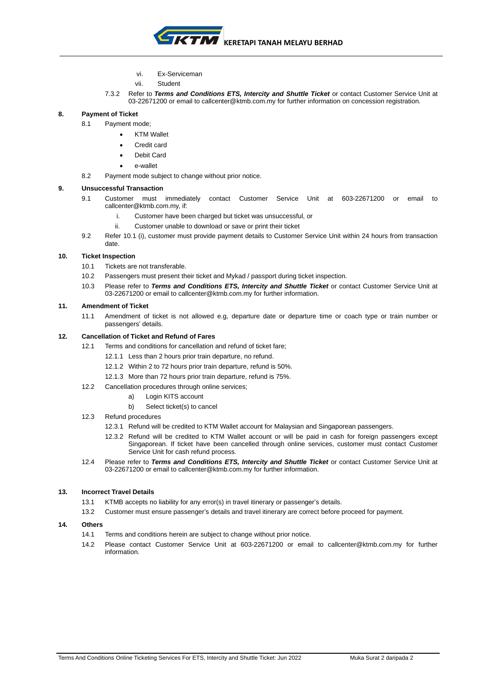

- vi. Ex-Serviceman
- vii. Student
- 7.3.2 Refer to *Terms and Conditions ETS, Intercity and Shuttle Ticket* or contact Customer Service Unit at 03-22671200 or email to callcenter@ktmb.com.my for further information on concession registration.

**8. Payment of Ticket** 

- 8.1 Payment mode;
	- **KTM Wallet**
	- Credit card
	- Debit Card
	- e-wallet
- 8.2 Payment mode subject to change without prior notice.

## **9. Unsuccessful Transaction**

- 9.1 Customer must immediately contact Customer Service Unit at 603-22671200 or email to [callcenter@ktmb.com.my,](mailto:callcenter@ktmb.com.my) if:
	- i. Customer have been charged but ticket was unsuccessful, or
	- ii. Customer unable to download or save or print their ticket
- 9.2 Refer 10.1 (i), customer must provide payment details to Customer Service Unit within 24 hours from transaction date.

# **10. Ticket Inspection**

- 10.1 Tickets are not transferable.
- 10.2 Passengers must present their ticket and Mykad / passport during ticket inspection.
- 10.3 Please refer to *Terms and Conditions ETS, Intercity and Shuttle Ticket* or contact Customer Service Unit at 03-22671200 or email to callcenter@ktmb.com.my for further information.

## **11. Amendment of Ticket**

11.1 Amendment of ticket is not allowed e.g, departure date or departure time or coach type or train number or passengers' details.

# **12. Cancellation of Ticket and Refund of Fares**

- 12.1 Terms and conditions for cancellation and refund of ticket fare;
	- 12.1.1 Less than 2 hours prior train departure, no refund.
	- 12.1.2 Within 2 to 72 hours prior train departure, refund is 50%.
	- 12.1.3 More than 72 hours prior train departure, refund is 75%.
- 12.2 Cancellation procedures through online services;
	- a) Login KITS account
	- b) Select ticket(s) to cancel

# 12.3 Refund procedures

- 12.3.1 Refund will be credited to KTM Wallet account for Malaysian and Singaporean passengers.
- 12.3.2 Refund will be credited to KTM Wallet account or will be paid in cash for foreign passengers except Singaporean. If ticket have been cancelled through online services, customer must contact Customer Service Unit for cash refund process.
- 12.4 Please refer to *Terms and Conditions ETS, Intercity and Shuttle Ticket* or contact Customer Service Unit at 03-22671200 or email to callcenter@ktmb.com.my for further information.

# **13. Incorrect Travel Details**

- 13.1 KTMB accepts no liability for any error(s) in travel itinerary or passenger's details.
- 13.2 Customer must ensure passenger's details and travel itinerary are correct before proceed for payment.

## **14. Others**

- 14.1 Terms and conditions herein are subject to change without prior notice.
- 14.2 Please contact Customer Service Unit at 603-22671200 or email to callcenter@ktmb.com.my for further information.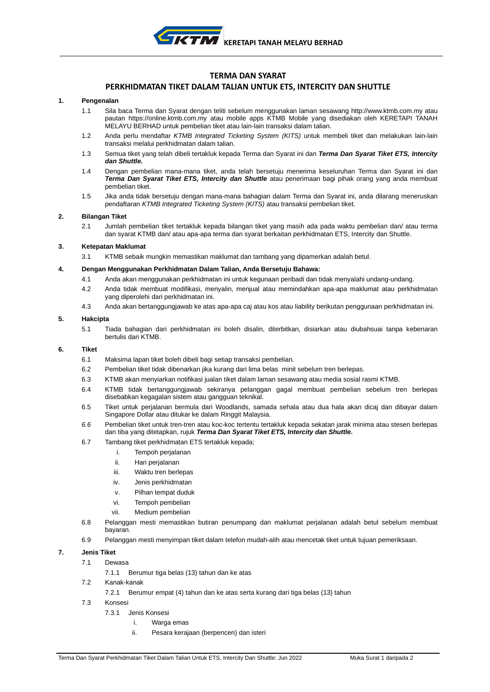# **TERMA DAN SYARAT**

# **PERKHIDMATAN TIKET DALAM TALIAN UNTUK ETS, INTERCITY DAN SHUTTLE**

#### **1. Pengenalan**

- 1.1 Sila baca Terma dan Syarat dengan teliti sebelum menggunakan laman sesawang http:[//www.ktmb.com.my](http://www.ktmb.com.my/) atau pautan https://online.ktmb.com.my atau mobile apps KTMB Mobile yang disediakan oleh KERETAPI TANAH MELAYU BERHAD untuk pembelian tiket atau lain-lain transaksi dalam talian.
- 1.2 Anda perlu mendaftar *KTMB Integrated Ticketing System (KITS)* untuk membeli tiket dan melakukan lain-lain transaksi melalui perkhidmatan dalam talian.
- 1.3 Semua tiket yang telah dibeli tertakluk kepada Terma dan Syarat ini dan *Terma Dan Syarat Tiket ETS, Intercity dan Shuttle.*
- 1.4 Dengan pembelian mana-mana tiket, anda telah bersetuju menerima keseluruhan Terma dan Syarat ini dan *Terma Dan Syarat Tiket ETS, Intercity dan Shuttle* atau penerimaan bagi pihak orang yang anda membuat pembelian tiket.
- 1.5 Jika anda tidak bersetuju dengan mana-mana bahagian dalam Terma dan Syarat ini, anda dilarang meneruskan pendaftaran *KTMB Integrated Ticketing System (KITS)* atau transaksi pembelian tiket.

#### **2. Bilangan Tiket**

2.1 Jumlah pembelian tiket tertakluk kepada bilangan tiket yang masih ada pada waktu pembelian dan/ atau terma dan syarat KTMB dan/ atau apa-apa terma dan syarat berkaitan perkhidmatan ETS, Intercity dan Shuttle.

## **3. Ketepatan Maklumat**

3.1 KTMB sebaik mungkin memastikan maklumat dan tambang yang dipamerkan adalah betul.

#### **4. Dengan Menggunakan Perkhidmatan Dalam Talian, Anda Bersetuju Bahawa:**

- 4.1 Anda akan menggunakan perkhidmatan ini untuk kegunaan peribadi dan tidak menyalahi undang-undang.
- 4.2 Anda tidak membuat modifikasi, menyalin, menjual atau memindahkan apa-apa maklumat atau perkhidmatan yang diperolehi dari perkhidmatan ini.
- 4.3 Anda akan bertanggungjawab ke atas apa-apa caj atau kos atau liability berikutan penggunaan perkhidmatan ini.

### **5. Hakcipta**

5.1 Tiada bahagian dari perkhidmatan ini boleh disalin, diterbitkan, disiarkan atau diubahsuai tanpa kebenaran bertulis dari KTMB.

#### **6. Tiket**

- 6.1 Maksima lapan tiket boleh dibeli bagi setiap transaksi pembelian.
- 6.2 Pembelian tiket tidak dibenarkan jika kurang dari lima belas minit sebelum tren berlepas.
- 6.3 KTMB akan menyiarkan notifikasi jualan tiket dalam laman sesawang atau media sosial rasmi KTMB.
- 6.4 KTMB tidak bertanggungjawab sekiranya pelanggan gagal membuat pembelian sebelum tren berlepas disebabkan kegagalan sistem atau gangguan teknikal.
- 6.5 Tiket untuk perjalanan bermula dari Woodlands, samada sehala atau dua hala akan dicaj dan dibayar dalam Singapore Dollar atau ditukar ke dalam Ringgit Malaysia.
- *6.6* Pembelian tiket untuk tren-tren atau koc-koc tertentu tertakluk kepada sekatan jarak minima atau stesen berlepas dan tiba yang ditetapkan, rujuk *Terma Dan Syarat Tiket ETS, Intercity dan Shuttle.*
- 6.7 Tambang tiket perkhidmatan ETS tertakluk kepada;
	- i. Tempoh perjalanan
	- ii. Hari perjalanan
	- iii. Waktu tren berlepas
	- iv. Jenis perkhidmatan
	- v. Pilhan tempat duduk
	- vi. Tempoh pembelian
	- vii. Medium pembelian
- 6.8 Pelanggan mesti memastikan butiran penumpang dan maklumat perjalanan adalah betul sebelum membuat bayaran.
- 6.9 Pelanggan mesti menyimpan tiket dalam telefon mudah-alih atau mencetak tiket untuk tujuan pemeriksaan.

#### **7. Jenis Tiket**

- 7.1 Dewasa
	- 7.1.1 Berumur tiga belas (13) tahun dan ke atas
- 7.2 Kanak-kanak
	- 7.2.1 Berumur empat (4) tahun dan ke atas serta kurang dari tiga belas (13) tahun
- 7.3 Konsesi
	- 7.3.1 Jenis Konsesi
		- i. Warga emas
		- ii. Pesara kerajaan (berpencen) dan isteri